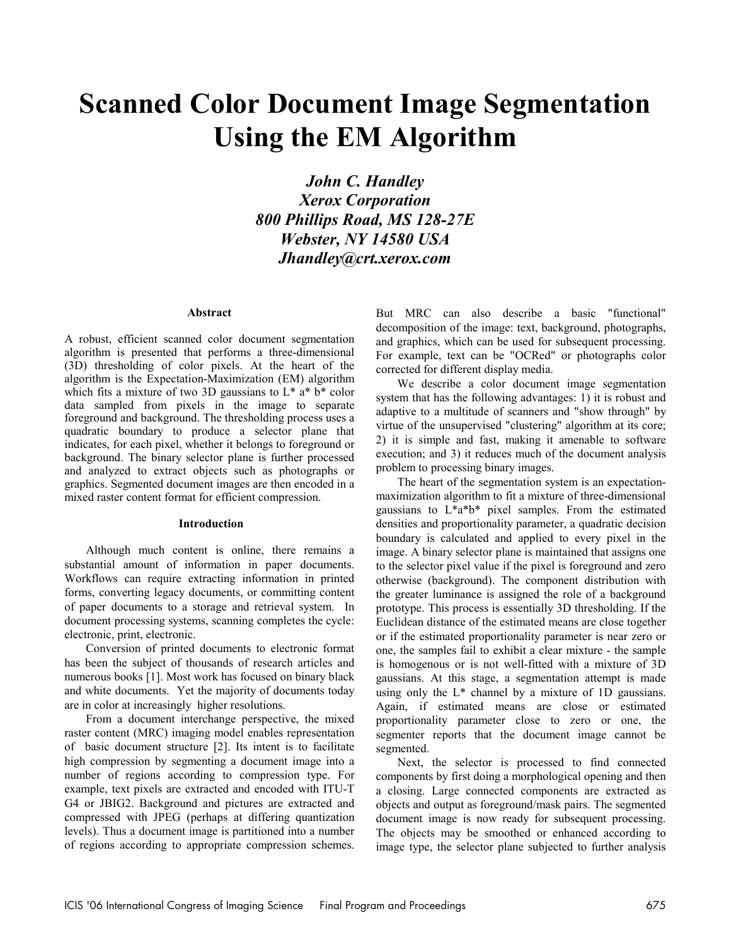# **Scanned Color Document Image Segmentation Using the EM Algorithm**

*John C. Handley Xerox Corporation 800 Phillips Road, MS 128-27E Webster, NY 14580 USA Jhandley@crt.xerox.com* 

#### **Abstract**

A robust, efficient scanned color document segmentation algorithm is presented that performs a three-dimensional (3D) thresholding of color pixels. At the heart of the algorithm is the Expectation-Maximization (EM) algorithm which fits a mixture of two 3D gaussians to  $L^*$  a<sup>\*</sup> b<sup>\*</sup> color data sampled from pixels in the image to separate foreground and background. The thresholding process uses a quadratic boundary to produce a selector plane that indicates, for each pixel, whether it belongs to foreground or background. The binary selector plane is further processed and analyzed to extract objects such as photographs or graphics. Segmented document images are then encoded in a mixed raster content format for efficient compression.

## **Introduction**

Although much content is online, there remains a substantial amount of information in paper documents. Workflows can require extracting information in printed forms, converting legacy documents, or committing content of paper documents to a storage and retrieval system. In document processing systems, scanning completes the cycle: electronic, print, electronic.

Conversion of printed documents to electronic format has been the subject of thousands of research articles and numerous books [1]. Most work has focused on binary black and white documents. Yet the majority of documents today are in color at increasingly higher resolutions.

From a document interchange perspective, the mixed raster content (MRC) imaging model enables representation of basic document structure [2]. Its intent is to facilitate high compression by segmenting a document image into a number of regions according to compression type. For example, text pixels are extracted and encoded with ITU-T G4 or JBIG2. Background and pictures are extracted and compressed with JPEG (perhaps at differing quantization levels). Thus a document image is partitioned into a number of regions according to appropriate compression schemes.

But MRC can also describe a basic "functional" decomposition of the image: text, background, photographs, and graphics, which can be used for subsequent processing. For example, text can be "OCRed" or photographs color corrected for different display media.

We describe a color document image segmentation system that has the following advantages: 1) it is robust and adaptive to a multitude of scanners and "show through" by virtue of the unsupervised "clustering" algorithm at its core; 2) it is simple and fast, making it amenable to software execution; and 3) it reduces much of the document analysis problem to processing binary images.

The heart of the segmentation system is an expectationmaximization algorithm to fit a mixture of three-dimensional gaussians to L\*a\*b\* pixel samples. From the estimated densities and proportionality parameter, a quadratic decision boundary is calculated and applied to every pixel in the image. A binary selector plane is maintained that assigns one to the selector pixel value if the pixel is foreground and zero otherwise (background). The component distribution with the greater luminance is assigned the role of a background prototype. This process is essentially 3D thresholding. If the Euclidean distance of the estimated means are close together or if the estimated proportionality parameter is near zero or one, the samples fail to exhibit a clear mixture - the sample is homogenous or is not well-fitted with a mixture of 3D gaussians. At this stage, a segmentation attempt is made using only the L\* channel by a mixture of 1D gaussians. Again, if estimated means are close or estimated proportionality parameter close to zero or one, the segmenter reports that the document image cannot be segmented.

Next, the selector is processed to find connected components by first doing a morphological opening and then a closing. Large connected components are extracted as objects and output as foreground/mask pairs. The segmented document image is now ready for subsequent processing. The objects may be smoothed or enhanced according to image type, the selector plane subjected to further analysis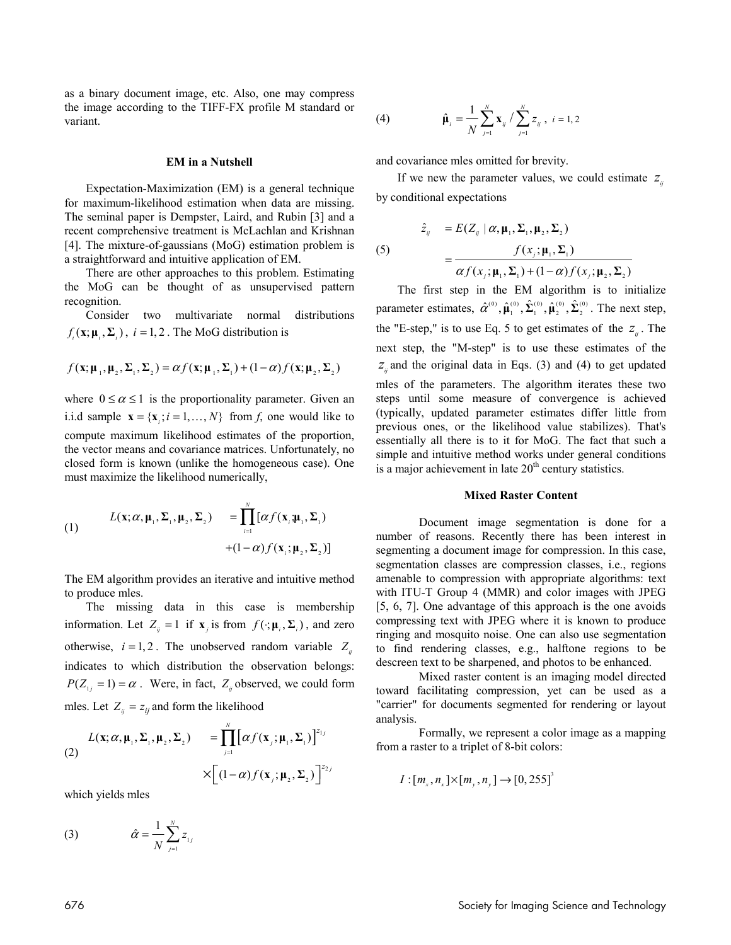as a binary document image, etc. Also, one may compress the image according to the TIFF-FX profile M standard or variant.

#### **EM in a Nutshell**

Expectation-Maximization (EM) is a general technique for maximum-likelihood estimation when data are missing. The seminal paper is Dempster, Laird, and Rubin [3] and a recent comprehensive treatment is McLachlan and Krishnan [4]. The mixture-of-gaussians (MoG) estimation problem is a straightforward and intuitive application of EM.

There are other approaches to this problem. Estimating the MoG can be thought of as unsupervised pattern recognition.

Consider two multivariate normal distributions  $f_i(\mathbf{x}; \mathbf{\mu}_i, \mathbf{\Sigma}_i)$ ,  $i = 1, 2$ . The MoG distribution is

$$
f(\mathbf{x}; \boldsymbol{\mu}_1, \boldsymbol{\mu}_2, \boldsymbol{\Sigma}_1, \boldsymbol{\Sigma}_2) = \alpha f(\mathbf{x}; \boldsymbol{\mu}_1, \boldsymbol{\Sigma}_1) + (1 - \alpha) f(\mathbf{x}; \boldsymbol{\mu}_2, \boldsymbol{\Sigma}_2)
$$

where  $0 \le \alpha \le 1$  is the proportionality parameter. Given an i.i.d sample  ${\bf x} = {\bf x}$ ;  $i = 1, ..., N$ } from *f*, one would like to compute maximum likelihood estimates of the proportion, the vector means and covariance matrices. Unfortunately, no closed form is known (unlike the homogeneous case). One must maximize the likelihood numerically,

(1) 
$$
L(\mathbf{x}; \alpha, \mathbf{\mu}_1, \Sigma_1, \mathbf{\mu}_2, \Sigma_2) = \prod_{i=1}^N [\alpha f(\mathbf{x}_i; \mathbf{\mu}_1, \Sigma_1) + (1 - \alpha) f(\mathbf{x}_i; \mathbf{\mu}_2, \Sigma_2)]
$$

The EM algorithm provides an iterative and intuitive method to produce mles.

 The missing data in this case is membership information. Let  $Z_i = 1$  if  $\mathbf{x}_i$  is from  $f(\cdot; \mu_i, \Sigma_i)$ , and zero otherwise,  $i = 1, 2$ . The unobserved random variable  $Z_{ij}$ indicates to which distribution the observation belongs:  $P(Z_{1i} = 1) = \alpha$ . Were, in fact,  $Z_{ii}$  observed, we could form mles. Let  $Z_{ii} = z_{ii}$  and form the likelihood

(2) 
$$
L(\mathbf{x}; \alpha, \mathbf{\mu}_1, \Sigma_1, \mathbf{\mu}_2, \Sigma_2) = \prod_{j=1}^N [\alpha f(\mathbf{x}_j; \mathbf{\mu}_1, \Sigma_1)]^{z_{1j}}
$$

$$
\times \Big[ (1-\alpha) f(\mathbf{x}_j; \mathbf{\mu}_2, \Sigma_2) \Big]^{z_{2j}}
$$

which yields mles

(3) 
$$
\hat{\alpha} = \frac{1}{N} \sum_{j=1}^{N} z_{1j}
$$

(4) 
$$
\hat{\mu}_{i} = \frac{1}{N} \sum_{j=1}^{N} \mathbf{x}_{ij} / \sum_{j=1}^{N} z_{ij}, i = 1, 2
$$

and covariance mles omitted for brevity.

If we new the parameter values, we could estimate  $z_{ij}$ by conditional expectations

(5)  
\n
$$
\hat{z}_{ij} = E(Z_{ij} | \alpha, \mu_1, \Sigma_1, \mu_2, \Sigma_2)
$$
\n
$$
= \frac{f(x_j; \mu_1, \Sigma_1)}{\alpha f(x_j; \mu_1, \Sigma_1) + (1 - \alpha) f(x_j; \mu_2, \Sigma_2)}
$$

 The first step in the EM algorithm is to initialize parameter estimates,  $\hat{\alpha}^{(0)}$ ,  $\hat{\mu}_1^{(0)}$ ,  $\hat{\Sigma}_1^{(0)}$ ,  $\hat{\mu}_2^{(0)}$ ,  $\hat{\Sigma}_2^{(0)}$ . The next step, the "E-step," is to use Eq. 5 to get estimates of the  $z<sub>n</sub>$ . The next step, the "M-step" is to use these estimates of the  $z<sub>u</sub>$  and the original data in Eqs. (3) and (4) to get updated mles of the parameters. The algorithm iterates these two steps until some measure of convergence is achieved (typically, updated parameter estimates differ little from previous ones, or the likelihood value stabilizes). That's essentially all there is to it for MoG. The fact that such a simple and intuitive method works under general conditions is a major achievement in late  $20<sup>th</sup>$  century statistics.

#### **Mixed Raster Content**

 Document image segmentation is done for a number of reasons. Recently there has been interest in segmenting a document image for compression. In this case, segmentation classes are compression classes, i.e., regions amenable to compression with appropriate algorithms: text with ITU-T Group 4 (MMR) and color images with JPEG [5, 6, 7]. One advantage of this approach is the one avoids compressing text with JPEG where it is known to produce ringing and mosquito noise. One can also use segmentation to find rendering classes, e.g., halftone regions to be descreen text to be sharpened, and photos to be enhanced.

 Mixed raster content is an imaging model directed toward facilitating compression, yet can be used as a "carrier" for documents segmented for rendering or layout analysis.

 Formally, we represent a color image as a mapping from a raster to a triplet of 8-bit colors:

$$
I:[m_x, n_x] \times [m_y, n_y] \to [0, 255]^3
$$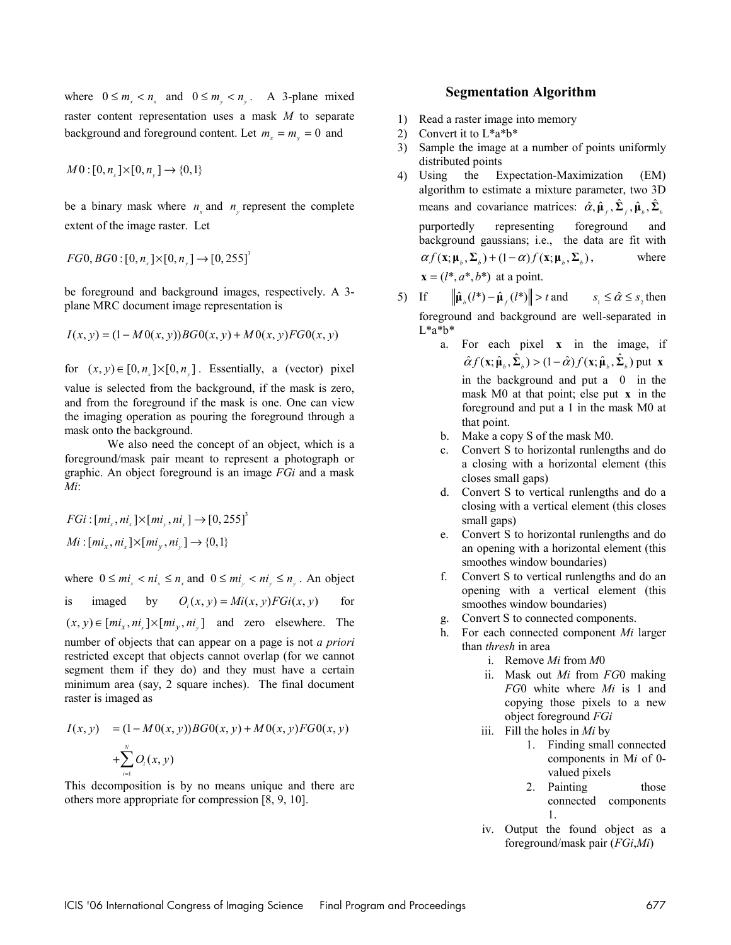where  $0 \le m_x < n_x$  and  $0 \le m_y < n_y$ . A 3-plane mixed raster content representation uses a mask *M* to separate background and foreground content. Let  $m_r = m_v = 0$  and

$$
M0:[0,n_x]\times[0,n_y]\to\{0,1\}
$$

be a binary mask where  $n_$  and  $n_$  represent the complete extent of the image raster. Let

 $FG0, BG0: [0, n_x] \times [0, n_y] \rightarrow [0, 255]^3$ 

be foreground and background images, respectively. A 3 plane MRC document image representation is

$$
I(x, y) = (1 - M0(x, y))BG0(x, y) + M0(x, y)FG0(x, y)
$$

for  $(x, y) \in [0, n] \times [0, n]$ . Essentially, a (vector) pixel value is selected from the background, if the mask is zero, and from the foreground if the mask is one. One can view the imaging operation as pouring the foreground through a mask onto the background.

 We also need the concept of an object, which is a foreground/mask pair meant to represent a photograph or graphic. An object foreground is an image *FGi* and a mask *Mi*:

 $FGi: [mi_x, ni_x] \times [mi_y, ni_y] \rightarrow [0, 255]^3$  $Mi : [mi_x, ni_x] \times [mi_y, ni_x] \rightarrow \{0,1\}$ 

where  $0 \leq mi_r < ni_r \leq n_r$  and  $0 \leq mi_r < ni_r \leq n_r$ . An object is imaged by  $O_i(x, y) = Mi(x, y)FGi(x, y)$  for  $(x, y) \in [mi_x, ni_x] \times [mi_y, ni_y]$  and zero elsewhere. The

number of objects that can appear on a page is not *a priori*  restricted except that objects cannot overlap (for we cannot segment them if they do) and they must have a certain minimum area (say, 2 square inches). The final document raster is imaged as

$$
I(x, y) = (1 - M0(x, y))BG0(x, y) + M0(x, y)FG0(x, y)
$$
  
+
$$
\sum_{i=1}^{N} O_i(x, y)
$$

This decomposition is by no means unique and there are others more appropriate for compression [8, 9, 10].

# **Segmentation Algorithm**

- 1) Read a raster image into memory
- 2) Convert it to L\*a\*b\*
- 3) Sample the image at a number of points uniformly distributed points
- 4) Using the Expectation-Maximization (EM) algorithm to estimate a mixture parameter, two 3D means and covariance matrices:  $\hat{\alpha}, \hat{\mu}_c, \hat{\Sigma}_c, \hat{\mu}_b, \hat{\Sigma}_b$ purportedly representing foreground and background gaussians; i.e., the data are fit with  $\alpha f(\mathbf{x}; \mathbf{\mu}_{\kappa}, \Sigma_{\kappa}) + (1 - \alpha) f(\mathbf{x}; \mathbf{\mu}_{\kappa}, \Sigma_{\kappa}),$  where  **at a point.**
- 5) If  $\|\hat{\boldsymbol{\mu}}_{s}(l^{*}) \hat{\boldsymbol{\mu}}_{s}(l^{*})\| > t$  and  $s_{s} \leq \hat{\alpha} \leq s$ , then foreground and background are well-separated in L\*a\*b\*
	- a. For each pixel **x** in the image, if  $\hat{\alpha} f(\mathbf{x}; \hat{\boldsymbol{\mu}}_i, \hat{\boldsymbol{\Sigma}}_i) > (1 - \hat{\alpha}) f(\mathbf{x}; \hat{\boldsymbol{\mu}}_i, \hat{\boldsymbol{\Sigma}}_i)$  put **x** in the background and put a 0 in the mask M0 at that point; else put **x** in the foreground and put a 1 in the mask M0 at that point.
	- b. Make a copy S of the mask M0.
	- c. Convert S to horizontal runlengths and do a closing with a horizontal element (this closes small gaps)
	- d. Convert S to vertical runlengths and do a closing with a vertical element (this closes small gaps)
	- e. Convert S to horizontal runlengths and do an opening with a horizontal element (this smoothes window boundaries)
	- f. Convert S to vertical runlengths and do an opening with a vertical element (this smoothes window boundaries)
	- g. Convert S to connected components.
	- h. For each connected component *Mi* larger than *thresh* in area
		- i. Remove *Mi* from *M*0
		- ii. Mask out *Mi* from *FG*0 making *FG*0 white where *Mi* is 1 and copying those pixels to a new object foreground *FGi*
		- iii. Fill the holes in *Mi* by
			- 1. Finding small connected components in M*i* of 0 valued pixels
			- 2. Painting those connected components 1.
		- iv. Output the found object as a foreground/mask pair (*FGi*,*Mi*)